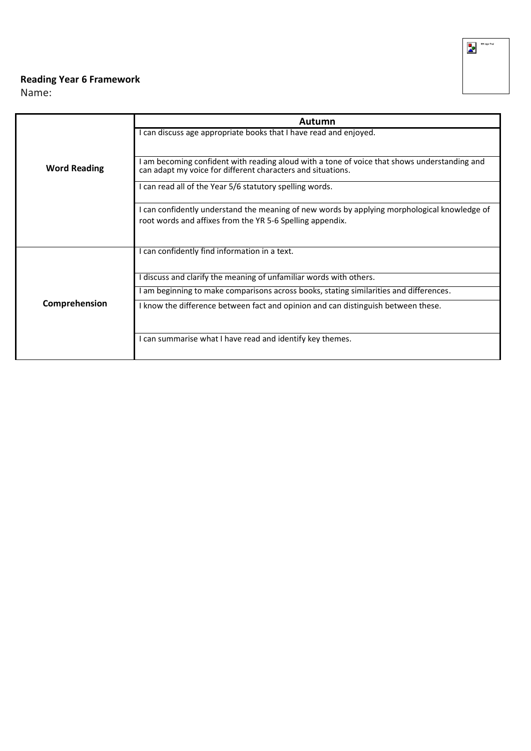## **Reading Year 6 Framework**

Name:

|                     | Autumn                                                                                                                                                    |  |
|---------------------|-----------------------------------------------------------------------------------------------------------------------------------------------------------|--|
|                     | I can discuss age appropriate books that I have read and enjoyed.                                                                                         |  |
|                     |                                                                                                                                                           |  |
| <b>Word Reading</b> | am becoming confident with reading aloud with a tone of voice that shows understanding and<br>can adapt my voice for different characters and situations. |  |
|                     | I can read all of the Year 5/6 statutory spelling words.                                                                                                  |  |
|                     | I can confidently understand the meaning of new words by applying morphological knowledge of<br>root words and affixes from the YR 5-6 Spelling appendix. |  |
|                     |                                                                                                                                                           |  |
|                     | I can confidently find information in a text.                                                                                                             |  |
|                     | discuss and clarify the meaning of unfamiliar words with others.                                                                                          |  |
|                     | am beginning to make comparisons across books, stating similarities and differences.                                                                      |  |
| Comprehension       | I know the difference between fact and opinion and can distinguish between these.                                                                         |  |
|                     |                                                                                                                                                           |  |
|                     | I can summarise what I have read and identify key themes.                                                                                                 |  |
|                     |                                                                                                                                                           |  |

**M**<br>**RK** logo final